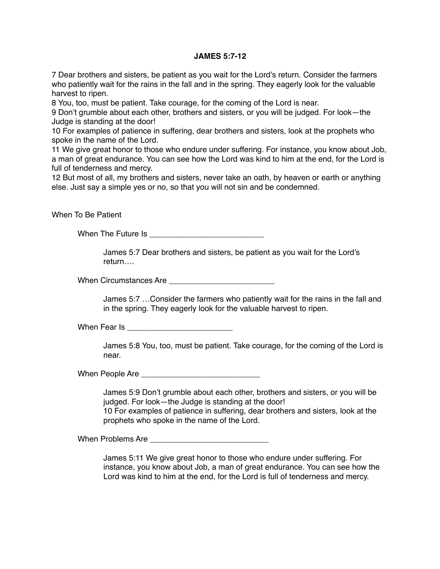## **JAMES 5:7-12**

7 Dear brothers and sisters, be patient as you wait for the Lord's return. Consider the farmers who patiently wait for the rains in the fall and in the spring. They eagerly look for the valuable harvest to ripen.

8 You, too, must be patient. Take courage, for the coming of the Lord is near.

9 Don't grumble about each other, brothers and sisters, or you will be judged. For look—the Judge is standing at the door!

10 For examples of patience in suffering, dear brothers and sisters, look at the prophets who spoke in the name of the Lord.

11 We give great honor to those who endure under suffering. For instance, you know about Job, a man of great endurance. You can see how the Lord was kind to him at the end, for the Lord is full of tenderness and mercy.

12 But most of all, my brothers and sisters, never take an oath, by heaven or earth or anything else. Just say a simple yes or no, so that you will not sin and be condemned.

When To Be Patient

When The Future Is \_\_\_\_\_\_\_\_\_\_\_\_\_\_\_\_\_\_\_\_\_\_\_\_\_\_

James 5:7 Dear brothers and sisters, be patient as you wait for the Lord's return….

When Circumstances Are **Example 20** 

James 5:7 …Consider the farmers who patiently wait for the rains in the fall and in the spring. They eagerly look for the valuable harvest to ripen.

When Fear Is **Example 20** Figures 1

James 5:8 You, too, must be patient. Take courage, for the coming of the Lord is near.

When People Are \_\_\_\_\_\_\_\_\_\_\_\_\_\_\_\_\_\_\_\_\_\_\_\_\_\_\_

James 5:9 Don't grumble about each other, brothers and sisters, or you will be judged. For look—the Judge is standing at the door! 10 For examples of patience in suffering, dear brothers and sisters, look at the prophets who spoke in the name of the Lord.

When Problems Are **Example 20** 

James 5:11 We give great honor to those who endure under suffering. For instance, you know about Job, a man of great endurance. You can see how the Lord was kind to him at the end, for the Lord is full of tenderness and mercy.